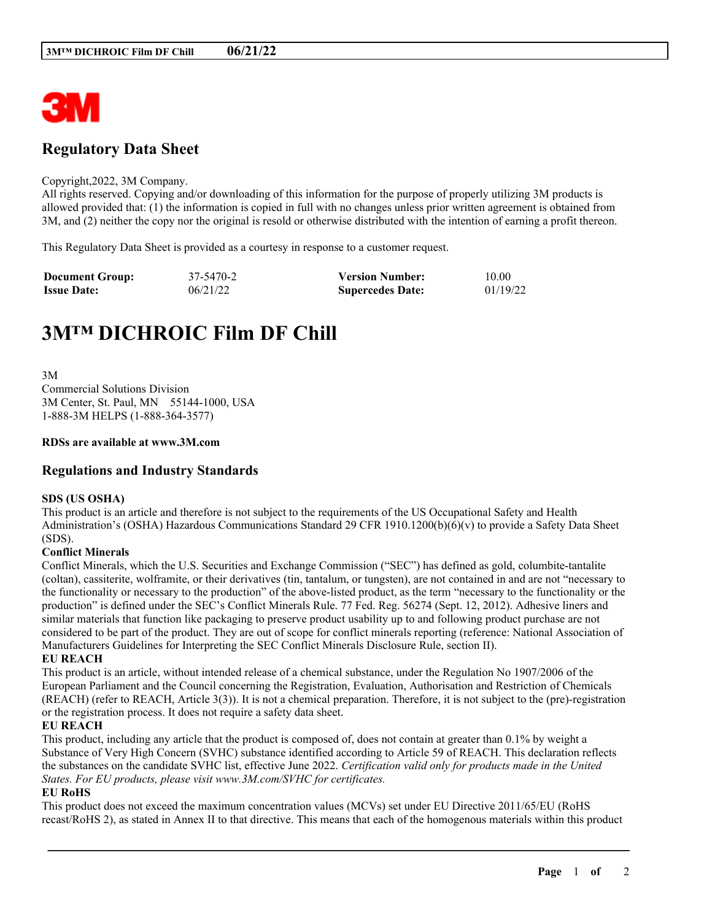

## **Regulatory Data Sheet**

#### Copyright,2022, 3M Company.

All rights reserved. Copying and/or downloading of this information for the purpose of properly utilizing 3M products is allowed provided that: (1) the information is copied in full with no changes unless prior written agreement is obtained from 3M, and (2) neither the copy nor the original is resold or otherwise distributed with the intention of earning a profit thereon.

This Regulatory Data Sheet is provided as a courtesy in response to a customer request.

| <b>Document Group:</b> | 37-5470-2 | <b>Version Number:</b>  | 10.00    |
|------------------------|-----------|-------------------------|----------|
| <b>Issue Date:</b>     | 06/21/22  | <b>Supercedes Date:</b> | 01/19/22 |

# **3M™ DICHROIC Film DF Chill**

3M Commercial Solutions Division 3M Center, St. Paul, MN 55144-1000, USA 1-888-3M HELPS (1-888-364-3577)

#### **RDSs are available at www.3M.com**

### **Regulations and Industry Standards**

#### **SDS (US OSHA)**

This product is an article and therefore is not subject to the requirements of the US Occupational Safety and Health Administration's (OSHA) Hazardous Communications Standard 29 CFR 1910.1200(b)(6)(v) to provide a Safety Data Sheet (SDS).

#### **Conflict Minerals**

Conflict Minerals, which the U.S. Securities and Exchange Commission ("SEC") has defined as gold, columbite-tantalite (coltan), cassiterite, wolframite, or their derivatives (tin, tantalum, or tungsten), are not contained in and are not "necessary to the functionality or necessary to the production" of the above-listed product, as the term "necessary to the functionality or the production" is defined under the SEC's Conflict Minerals Rule. 77 Fed. Reg. 56274 (Sept. 12, 2012). Adhesive liners and similar materials that function like packaging to preserve product usability up to and following product purchase are not considered to be part of the product. They are out of scope for conflict minerals reporting (reference: National Association of Manufacturers Guidelines for Interpreting the SEC Conflict Minerals Disclosure Rule, section II).

#### **EU REACH**

This product is an article, without intended release of a chemical substance, under the Regulation No 1907/2006 of the European Parliament and the Council concerning the Registration, Evaluation, Authorisation and Restriction of Chemicals (REACH) (refer to REACH, Article 3(3)). It is not a chemical preparation. Therefore, it is not subject to the (pre)-registration or the registration process. It does not require a safety data sheet.

#### **EU REACH**

This product, including any article that the product is composed of, does not contain at greater than 0.1% by weight a Substance of Very High Concern (SVHC) substance identified according to Article 59 of REACH. This declaration reflects the substances on the candidate SVHC list, effective June 2022. *Certification valid only for products made in the United States. For EU products, please visit www.3M.com/SVHC for certificates.*

#### **EU RoHS**

This product does not exceed the maximum concentration values (MCVs) set under EU Directive 2011/65/EU (RoHS recast/RoHS 2), as stated in Annex II to that directive. This means that each of the homogenous materials within this product

\_\_\_\_\_\_\_\_\_\_\_\_\_\_\_\_\_\_\_\_\_\_\_\_\_\_\_\_\_\_\_\_\_\_\_\_\_\_\_\_\_\_\_\_\_\_\_\_\_\_\_\_\_\_\_\_\_\_\_\_\_\_\_\_\_\_\_\_\_\_\_\_\_\_\_\_\_\_\_\_\_\_\_\_\_\_\_\_\_\_